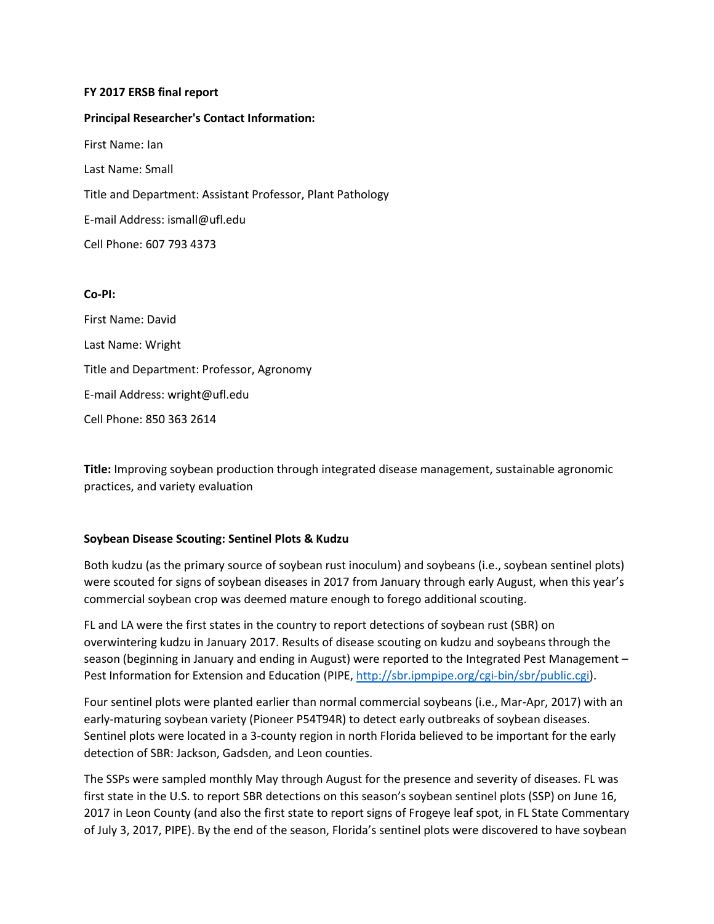### **FY 2017 ERSB final report**

**Principal Researcher's Contact Information:**

First Name: Ian

Last Name: Small

Title and Department: Assistant Professor, Plant Pathology

E-mail Address: ismall@ufl.edu

Cell Phone: 607 793 4373

### **Co-PI:**

First Name: David Last Name: Wright Title and Department: Professor, Agronomy E-mail Address: wright@ufl.edu Cell Phone: 850 363 2614

**Title:** Improving soybean production through integrated disease management, sustainable agronomic practices, and variety evaluation

### **Soybean Disease Scouting: Sentinel Plots & Kudzu**

Both kudzu (as the primary source of soybean rust inoculum) and soybeans (i.e., soybean sentinel plots) were scouted for signs of soybean diseases in 2017 from January through early August, when this year's commercial soybean crop was deemed mature enough to forego additional scouting.

FL and LA were the first states in the country to report detections of soybean rust (SBR) on overwintering kudzu in January 2017. Results of disease scouting on kudzu and soybeans through the season (beginning in January and ending in August) were reported to the Integrated Pest Management – Pest Information for Extension and Education (PIPE[, http://sbr.ipmpipe.org/cgi-bin/sbr/public.cgi\)](http://sbr.ipmpipe.org/cgi-bin/sbr/public.cgi).

Four sentinel plots were planted earlier than normal commercial soybeans (i.e., Mar-Apr, 2017) with an early-maturing soybean variety (Pioneer P54T94R) to detect early outbreaks of soybean diseases. Sentinel plots were located in a 3-county region in north Florida believed to be important for the early detection of SBR: Jackson, Gadsden, and Leon counties.

The SSPs were sampled monthly May through August for the presence and severity of diseases. FL was first state in the U.S. to report SBR detections on this season's soybean sentinel plots (SSP) on June 16, 2017 in Leon County (and also the first state to report signs of Frogeye leaf spot, in FL State Commentary of July 3, 2017, PIPE). By the end of the season, Florida's sentinel plots were discovered to have soybean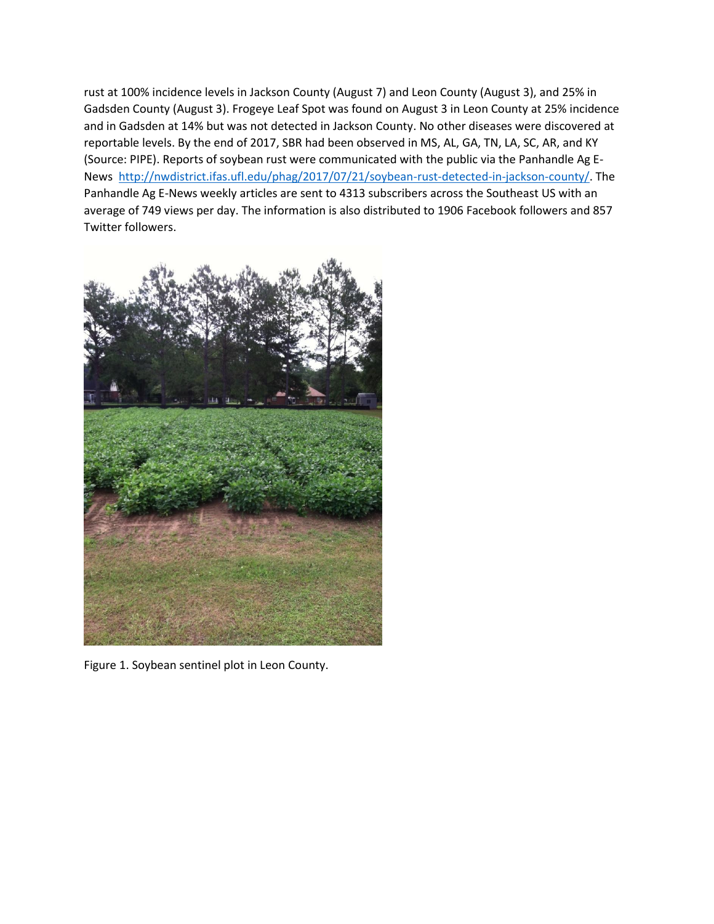rust at 100% incidence levels in Jackson County (August 7) and Leon County (August 3), and 25% in Gadsden County (August 3). Frogeye Leaf Spot was found on August 3 in Leon County at 25% incidence and in Gadsden at 14% but was not detected in Jackson County. No other diseases were discovered at reportable levels. By the end of 2017, SBR had been observed in MS, AL, GA, TN, LA, SC, AR, and KY (Source: PIPE). Reports of soybean rust were communicated with the public via the Panhandle Ag E-News [http://nwdistrict.ifas.ufl.edu/phag/2017/07/21/soybean-rust-detected-in-jackson-county/.](http://nwdistrict.ifas.ufl.edu/phag/2017/07/21/soybean-rust-detected-in-jackson-county/) The Panhandle Ag E-News weekly articles are sent to 4313 subscribers across the Southeast US with an average of 749 views per day. The information is also distributed to 1906 Facebook followers and 857 Twitter followers.



Figure 1. Soybean sentinel plot in Leon County.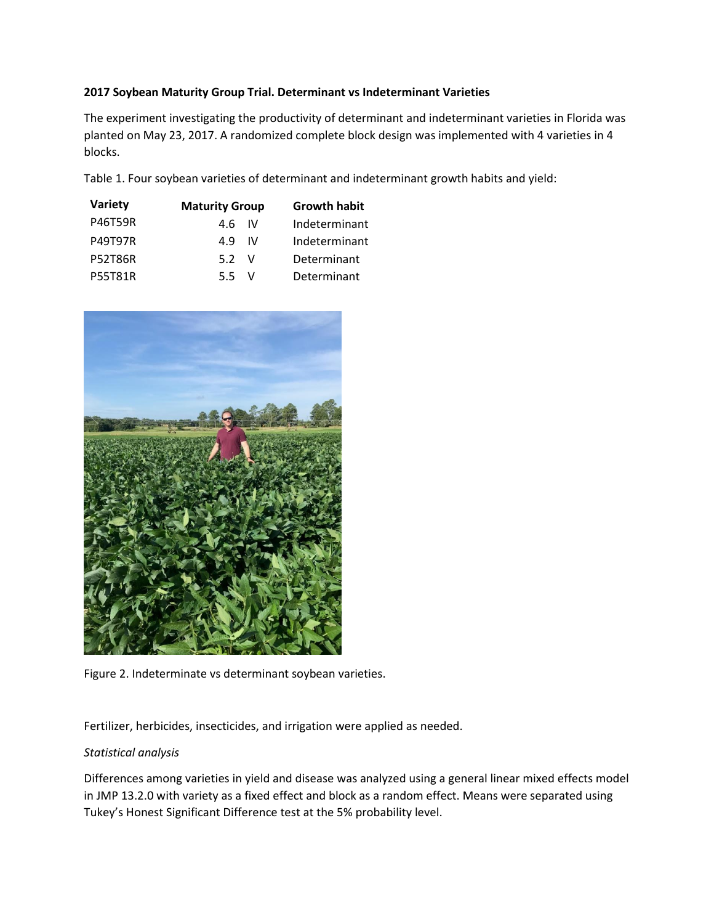## **2017 Soybean Maturity Group Trial. Determinant vs Indeterminant Varieties**

The experiment investigating the productivity of determinant and indeterminant varieties in Florida was planted on May 23, 2017. A randomized complete block design was implemented with 4 varieties in 4 blocks.

Table 1. Four soybean varieties of determinant and indeterminant growth habits and yield:

| Variety        | <b>Maturity Group</b> | <b>Growth habit</b> |
|----------------|-----------------------|---------------------|
| <b>P46T59R</b> | 4.6 IV                | Indeterminant       |
| <b>P49T97R</b> | 49<br>- IV            | Indeterminant       |
| <b>P52T86R</b> | 5.2<br>$\mathcal{N}$  | Determinant         |
| <b>P55T81R</b> | 5.5<br>$\mathcal{N}$  | Determinant         |



Figure 2. Indeterminate vs determinant soybean varieties.

Fertilizer, herbicides, insecticides, and irrigation were applied as needed.

# *Statistical analysis*

Differences among varieties in yield and disease was analyzed using a general linear mixed effects model in JMP 13.2.0 with variety as a fixed effect and block as a random effect. Means were separated using Tukey's Honest Significant Difference test at the 5% probability level.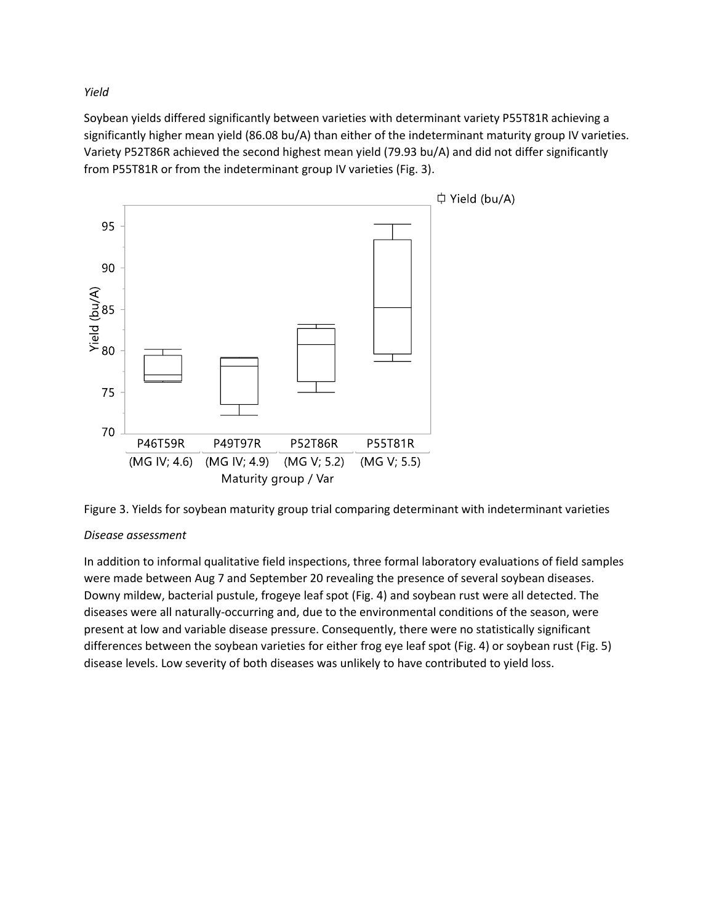*Yield*

Soybean yields differed significantly between varieties with determinant variety P55T81R achieving a significantly higher mean yield (86.08 bu/A) than either of the indeterminant maturity group IV varieties. Variety P52T86R achieved the second highest mean yield (79.93 bu/A) and did not differ significantly from P55T81R or from the indeterminant group IV varieties (Fig. 3).





# *Disease assessment*

In addition to informal qualitative field inspections, three formal laboratory evaluations of field samples were made between Aug 7 and September 20 revealing the presence of several soybean diseases. Downy mildew, bacterial pustule, frogeye leaf spot (Fig. 4) and soybean rust were all detected. The diseases were all naturally-occurring and, due to the environmental conditions of the season, were present at low and variable disease pressure. Consequently, there were no statistically significant differences between the soybean varieties for either frog eye leaf spot (Fig. 4) or soybean rust (Fig. 5) disease levels. Low severity of both diseases was unlikely to have contributed to yield loss.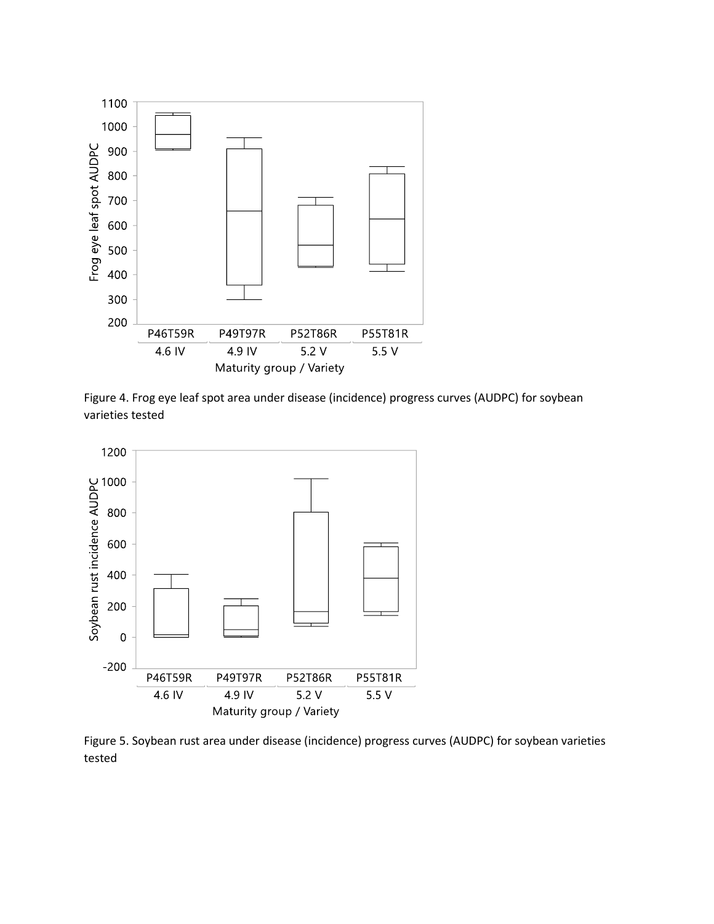

Figure 4. Frog eye leaf spot area under disease (incidence) progress curves (AUDPC) for soybean varieties tested



Figure 5. Soybean rust area under disease (incidence) progress curves (AUDPC) for soybean varieties tested